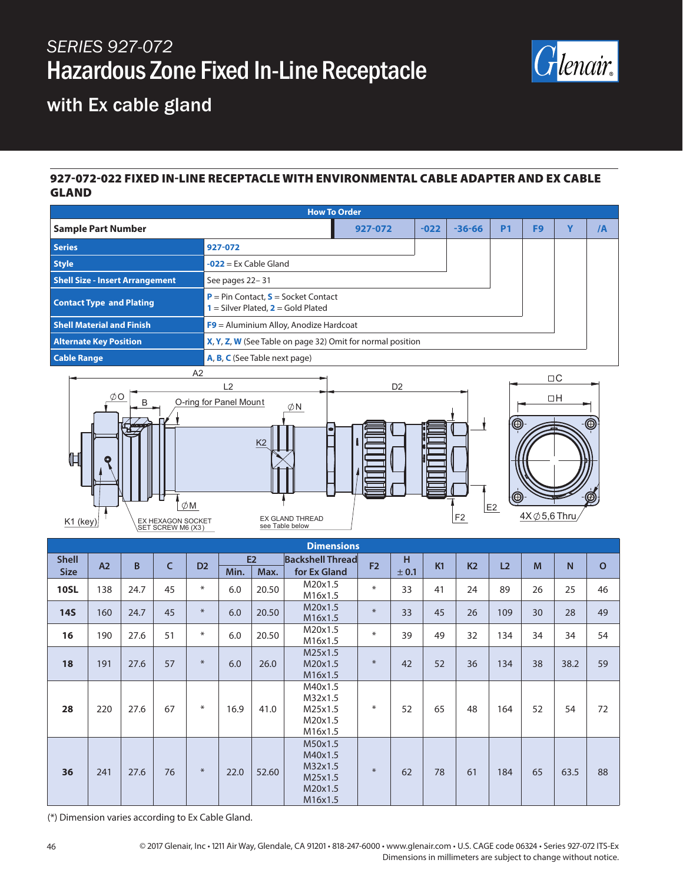# *SERIES 927-072* Hazardous Zone Fixed In-Line Receptacle



### with Ex cable gland

#### 927-072-022 FIXED IN-LINE RECEPTACLE WITH ENVIRONMENTAL CABLE ADAPTER AND EX CABLE GLAND

| <b>How To Order</b>                                                                         |                                                                                                   |                |  |                |         |                          |                |                |
|---------------------------------------------------------------------------------------------|---------------------------------------------------------------------------------------------------|----------------|--|----------------|---------|--------------------------|----------------|----------------|
| <b>Sample Part Number</b>                                                                   | Y<br>927-072<br>$-022$<br><b>P1</b><br>F <sub>9</sub><br>$-36 - 66$                               |                |  |                |         |                          |                | $\overline{A}$ |
| <b>Series</b>                                                                               | 927-072                                                                                           |                |  |                |         |                          |                |                |
| <b>Style</b>                                                                                | $-022$ = Ex Cable Gland                                                                           |                |  |                |         |                          |                |                |
| <b>Shell Size - Insert Arrangement</b>                                                      | See pages 22-31                                                                                   |                |  |                |         |                          |                |                |
| <b>Contact Type and Plating</b>                                                             | $P = Pin Contact, S = Socket Contact$                                                             |                |  |                |         |                          |                |                |
| <b>Shell Material and Finish</b><br>$F9$ = Aluminium Alloy, Anodize Hardcoat                |                                                                                                   |                |  |                |         |                          |                |                |
| <b>Alternate Key Position</b><br>X, Y, Z, W (See Table on page 32) Omit for normal position |                                                                                                   |                |  |                |         |                          |                |                |
| <b>Cable Range</b><br>A, B, C (See Table next page)                                         |                                                                                                   |                |  |                |         |                          |                |                |
| A2<br>ØΟ<br>ØΜ<br>EX HEXAGON SOCKET<br>K1 (key)<br>SET SCREW M6 (X3)                        | L2<br>O-ring for Panel Mount<br>ØΝ<br>K <sub>2</sub><br><b>EX GLAND THREAD</b><br>see Table below | D <sub>2</sub> |  | F <sub>2</sub> | ◉<br>E2 | $4X\,\emptyset$ 5,6 Thru | $\Box C$<br>ΠH |                |

| <b>Dimensions</b>                 |     |      |                |                           |      |                                         |                                                                |            |    |                |                |     |    |              |    |
|-----------------------------------|-----|------|----------------|---------------------------|------|-----------------------------------------|----------------------------------------------------------------|------------|----|----------------|----------------|-----|----|--------------|----|
| <b>Shell</b><br>A2<br><b>Size</b> | B   | C    | D <sub>2</sub> | <b>E2</b><br>Min.<br>Max. |      | <b>Backshell Thread</b><br>for Ex Gland | F <sub>2</sub>                                                 | H<br>± 0.1 | K1 | K <sub>2</sub> | L <sub>2</sub> | M   | N. | $\mathbf{o}$ |    |
| <b>10SL</b>                       | 138 | 24.7 | 45             | $\ast$                    | 6.0  | 20.50                                   | M20x1.5<br>M16x1.5                                             | $*$        | 33 | 41             | 24             | 89  | 26 | 25           | 46 |
| <b>14S</b>                        | 160 | 24.7 | 45             | $\ast$                    | 6.0  | 20.50                                   | M20x1.5<br>M16x1.5                                             | $\ast$     | 33 | 45             | 26             | 109 | 30 | 28           | 49 |
| 16                                | 190 | 27.6 | 51             | $\ast$                    | 6.0  | 20.50                                   | M20x1.5<br>M16x1.5                                             | $\ast$     | 39 | 49             | 32             | 134 | 34 | 34           | 54 |
| 18                                | 191 | 27.6 | 57             | $\ast$                    | 6.0  | 26.0                                    | M25x1.5<br>M20x1.5<br>M16x1.5                                  | $\ast$     | 42 | 52             | 36             | 134 | 38 | 38.2         | 59 |
| 28                                | 220 | 27.6 | 67             | $\ast$                    | 16.9 | 41.0                                    | M40x1.5<br>M32x1.5<br>M25x1.5<br>M20x1.5<br>M16x1.5            | $\ast$     | 52 | 65             | 48             | 164 | 52 | 54           | 72 |
| 36                                | 241 | 27.6 | 76             | $\ast$                    | 22.0 | 52.60                                   | M50x1.5<br>M40x1.5<br>M32x1.5<br>M25x1.5<br>M20x1.5<br>M16x1.5 | $*$        | 62 | 78             | 61             | 184 | 65 | 63.5         | 88 |

(\*) Dimension varies according to Ex Cable Gland.